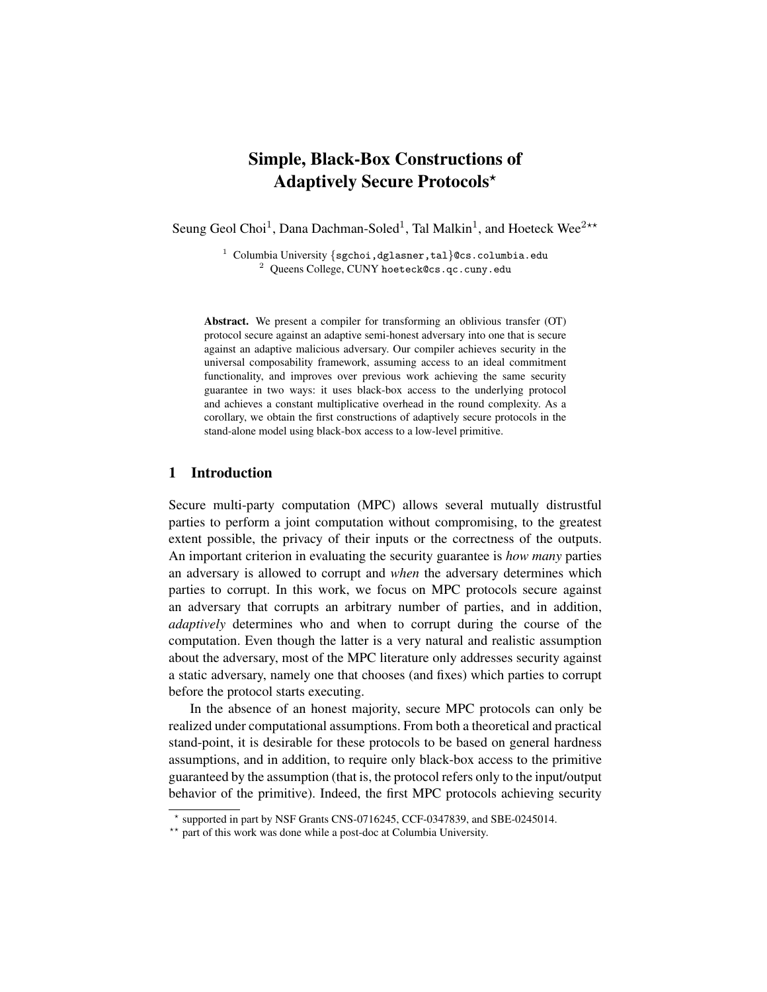# Simple, Black-Box Constructions of Adaptively Secure Protocols?

Seung Geol Choi<sup>1</sup>, Dana Dachman-Soled<sup>1</sup>, Tal Malkin<sup>1</sup>, and Hoeteck Wee<sup>2\*\*</sup>

 $1$  Columbia University {sgchoi,dglasner,tal}@cs.columbia.edu <sup>2</sup> Queens College, CUNY hoeteck@cs.qc.cuny.edu

Abstract. We present a compiler for transforming an oblivious transfer (OT) protocol secure against an adaptive semi-honest adversary into one that is secure against an adaptive malicious adversary. Our compiler achieves security in the universal composability framework, assuming access to an ideal commitment functionality, and improves over previous work achieving the same security guarantee in two ways: it uses black-box access to the underlying protocol and achieves a constant multiplicative overhead in the round complexity. As a corollary, we obtain the first constructions of adaptively secure protocols in the stand-alone model using black-box access to a low-level primitive.

# 1 Introduction

Secure multi-party computation (MPC) allows several mutually distrustful parties to perform a joint computation without compromising, to the greatest extent possible, the privacy of their inputs or the correctness of the outputs. An important criterion in evaluating the security guarantee is *how many* parties an adversary is allowed to corrupt and *when* the adversary determines which parties to corrupt. In this work, we focus on MPC protocols secure against an adversary that corrupts an arbitrary number of parties, and in addition, *adaptively* determines who and when to corrupt during the course of the computation. Even though the latter is a very natural and realistic assumption about the adversary, most of the MPC literature only addresses security against a static adversary, namely one that chooses (and fixes) which parties to corrupt before the protocol starts executing.

In the absence of an honest majority, secure MPC protocols can only be realized under computational assumptions. From both a theoretical and practical stand-point, it is desirable for these protocols to be based on general hardness assumptions, and in addition, to require only black-box access to the primitive guaranteed by the assumption (that is, the protocol refers only to the input/output behavior of the primitive). Indeed, the first MPC protocols achieving security

<sup>?</sup> supported in part by NSF Grants CNS-0716245, CCF-0347839, and SBE-0245014.

<sup>\*\*</sup> part of this work was done while a post-doc at Columbia University.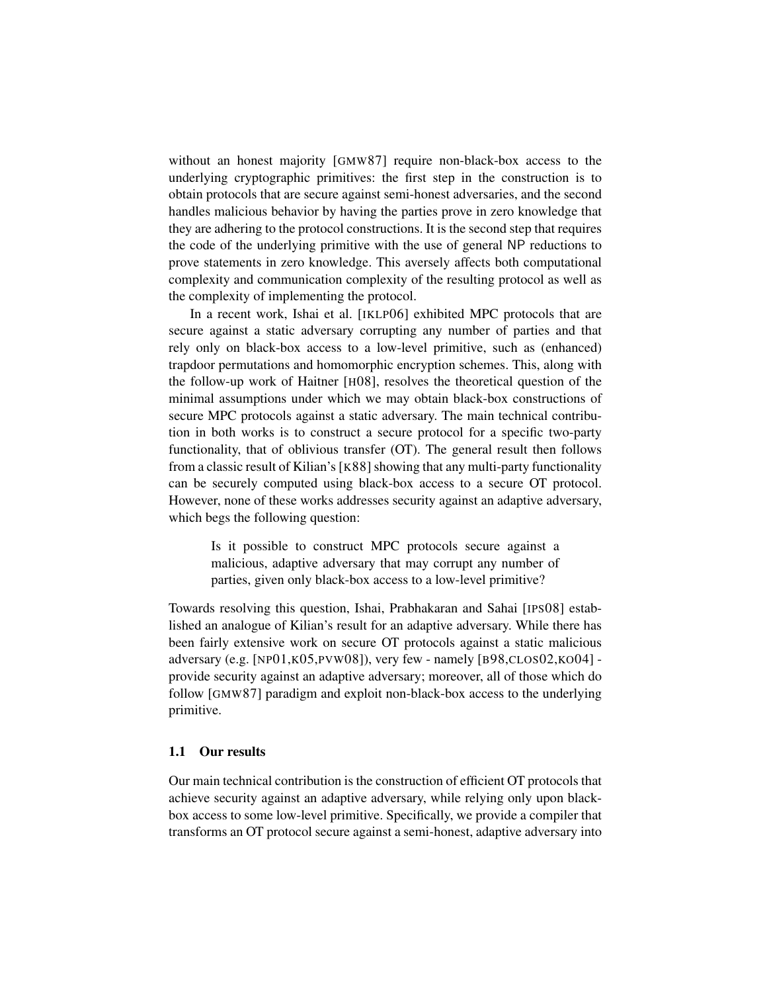without an honest majority [GMW87] require non-black-box access to the underlying cryptographic primitives: the first step in the construction is to obtain protocols that are secure against semi-honest adversaries, and the second handles malicious behavior by having the parties prove in zero knowledge that they are adhering to the protocol constructions. It is the second step that requires the code of the underlying primitive with the use of general NP reductions to prove statements in zero knowledge. This aversely affects both computational complexity and communication complexity of the resulting protocol as well as the complexity of implementing the protocol.

In a recent work, Ishai et al. [IKLP06] exhibited MPC protocols that are secure against a static adversary corrupting any number of parties and that rely only on black-box access to a low-level primitive, such as (enhanced) trapdoor permutations and homomorphic encryption schemes. This, along with the follow-up work of Haitner [H08], resolves the theoretical question of the minimal assumptions under which we may obtain black-box constructions of secure MPC protocols against a static adversary. The main technical contribution in both works is to construct a secure protocol for a specific two-party functionality, that of oblivious transfer (OT). The general result then follows from a classic result of Kilian's [K88] showing that any multi-party functionality can be securely computed using black-box access to a secure OT protocol. However, none of these works addresses security against an adaptive adversary, which begs the following question:

Is it possible to construct MPC protocols secure against a malicious, adaptive adversary that may corrupt any number of parties, given only black-box access to a low-level primitive?

Towards resolving this question, Ishai, Prabhakaran and Sahai [IPS08] established an analogue of Kilian's result for an adaptive adversary. While there has been fairly extensive work on secure OT protocols against a static malicious adversary (e.g. [NP01,K05,PVW08]), very few - namely [B98,CLOS02,KO04] provide security against an adaptive adversary; moreover, all of those which do follow [GMW87] paradigm and exploit non-black-box access to the underlying primitive.

### 1.1 Our results

Our main technical contribution is the construction of efficient OT protocols that achieve security against an adaptive adversary, while relying only upon blackbox access to some low-level primitive. Specifically, we provide a compiler that transforms an OT protocol secure against a semi-honest, adaptive adversary into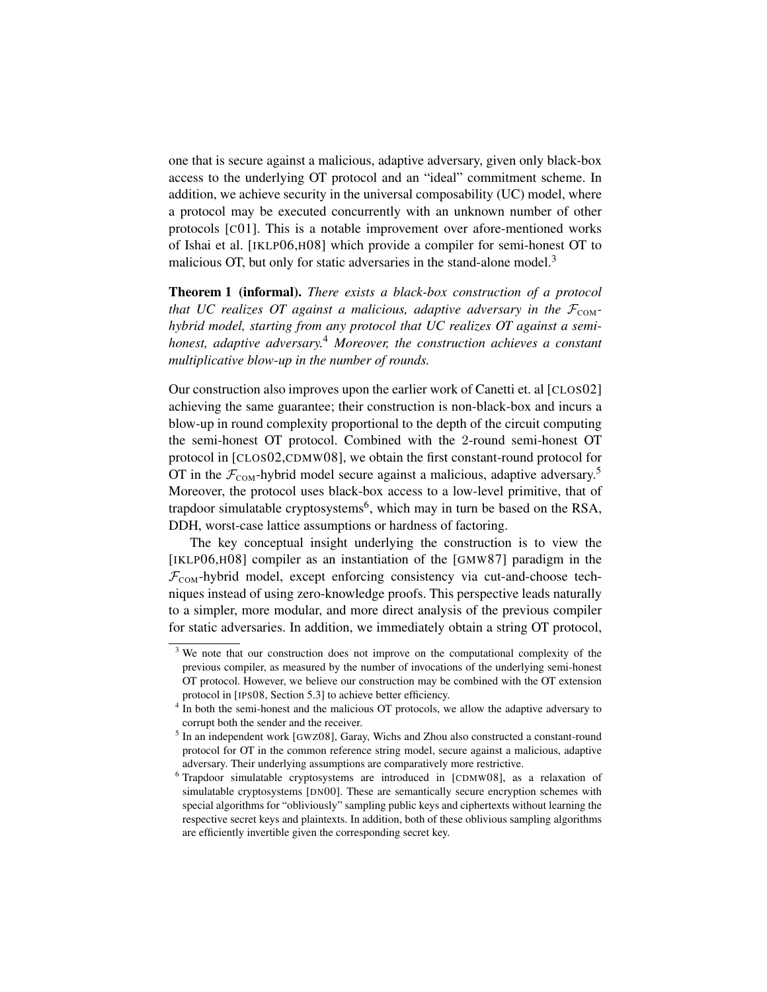one that is secure against a malicious, adaptive adversary, given only black-box access to the underlying OT protocol and an "ideal" commitment scheme. In addition, we achieve security in the universal composability (UC) model, where a protocol may be executed concurrently with an unknown number of other protocols [C01]. This is a notable improvement over afore-mentioned works of Ishai et al. [IKLP06,H08] which provide a compiler for semi-honest OT to malicious OT, but only for static adversaries in the stand-alone model.<sup>3</sup>

Theorem 1 (informal). *There exists a black-box construction of a protocol that UC realizes OT against a malicious, adaptive adversary in the*  $F_{COM}$ *hybrid model, starting from any protocol that UC realizes OT against a semihonest, adaptive adversary.*<sup>4</sup> *Moreover, the construction achieves a constant multiplicative blow-up in the number of rounds.*

Our construction also improves upon the earlier work of Canetti et. al [CLOS02] achieving the same guarantee; their construction is non-black-box and incurs a blow-up in round complexity proportional to the depth of the circuit computing the semi-honest OT protocol. Combined with the 2-round semi-honest OT protocol in [CLOS02,CDMW08], we obtain the first constant-round protocol for OT in the  $\mathcal{F}_{COM}$ -hybrid model secure against a malicious, adaptive adversary.<sup>5</sup> Moreover, the protocol uses black-box access to a low-level primitive, that of trapdoor simulatable cryptosystems<sup>6</sup>, which may in turn be based on the RSA, DDH, worst-case lattice assumptions or hardness of factoring.

The key conceptual insight underlying the construction is to view the [IKLP06,H08] compiler as an instantiation of the [GMW87] paradigm in the  $\mathcal{F}_{COM}$ -hybrid model, except enforcing consistency via cut-and-choose techniques instead of using zero-knowledge proofs. This perspective leads naturally to a simpler, more modular, and more direct analysis of the previous compiler for static adversaries. In addition, we immediately obtain a string OT protocol,

<sup>&</sup>lt;sup>3</sup> We note that our construction does not improve on the computational complexity of the previous compiler, as measured by the number of invocations of the underlying semi-honest OT protocol. However, we believe our construction may be combined with the OT extension protocol in [IPS08, Section 5.3] to achieve better efficiency.

<sup>4</sup> In both the semi-honest and the malicious OT protocols, we allow the adaptive adversary to corrupt both the sender and the receiver.

<sup>&</sup>lt;sup>5</sup> In an independent work [GWZ08], Garay, Wichs and Zhou also constructed a constant-round protocol for OT in the common reference string model, secure against a malicious, adaptive adversary. Their underlying assumptions are comparatively more restrictive.

<sup>6</sup> Trapdoor simulatable cryptosystems are introduced in [CDMW08], as a relaxation of simulatable cryptosystems [DN00]. These are semantically secure encryption schemes with special algorithms for "obliviously" sampling public keys and ciphertexts without learning the respective secret keys and plaintexts. In addition, both of these oblivious sampling algorithms are efficiently invertible given the corresponding secret key.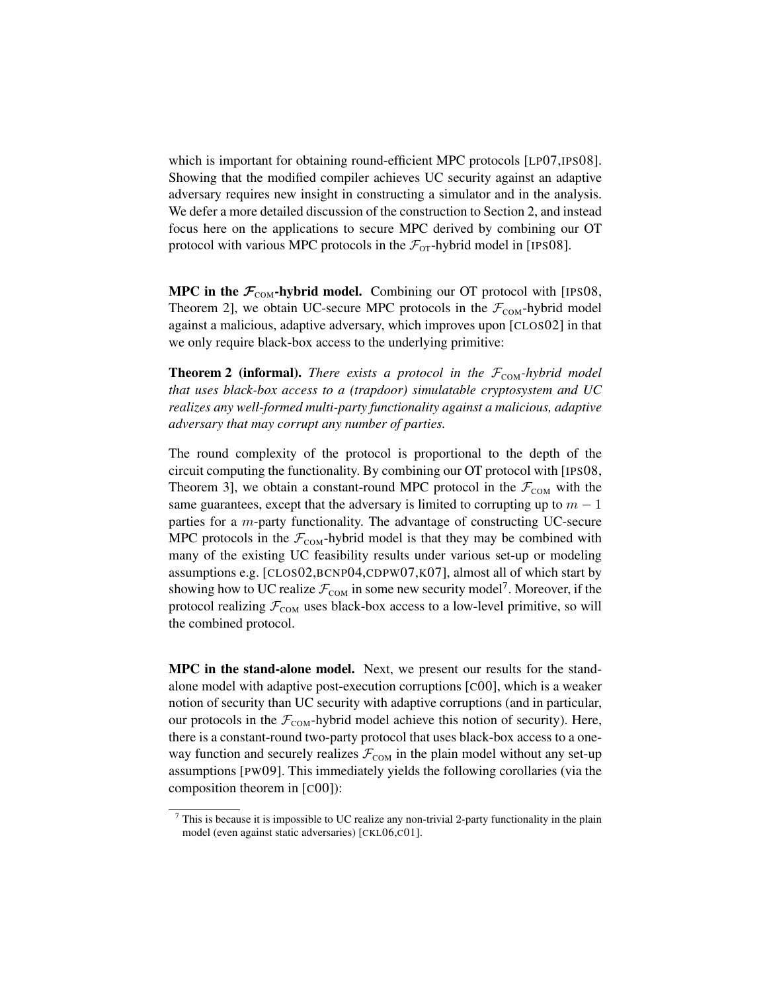which is important for obtaining round-efficient MPC protocols [LP07, IPS08]. Showing that the modified compiler achieves UC security against an adaptive adversary requires new insight in constructing a simulator and in the analysis. We defer a more detailed discussion of the construction to Section 2, and instead focus here on the applications to secure MPC derived by combining our OT protocol with various MPC protocols in the  $\mathcal{F}_{OT}$ -hybrid model in [IPS08].

MPC in the  $\mathcal{F}_{COM}$ -hybrid model. Combining our OT protocol with [IPS08, Theorem 2], we obtain UC-secure MPC protocols in the  $\mathcal{F}_{COM}$ -hybrid model against a malicious, adaptive adversary, which improves upon [CLOS02] in that we only require black-box access to the underlying primitive:

**Theorem 2 (informal).** *There exists a protocol in the*  $\mathcal{F}_{COM}$ -hybrid model *that uses black-box access to a (trapdoor) simulatable cryptosystem and UC realizes any well-formed multi-party functionality against a malicious, adaptive adversary that may corrupt any number of parties.*

The round complexity of the protocol is proportional to the depth of the circuit computing the functionality. By combining our OT protocol with [IPS08, Theorem 3], we obtain a constant-round MPC protocol in the  $\mathcal{F}_{COM}$  with the same guarantees, except that the adversary is limited to corrupting up to  $m - 1$ parties for a m-party functionality. The advantage of constructing UC-secure MPC protocols in the  $\mathcal{F}_{COM}$ -hybrid model is that they may be combined with many of the existing UC feasibility results under various set-up or modeling assumptions e.g. [CLOS02,BCNP04,CDPW07,K07], almost all of which start by showing how to UC realize  $\mathcal{F}_{COM}$  in some new security model<sup>7</sup>. Moreover, if the protocol realizing  $\mathcal{F}_{COM}$  uses black-box access to a low-level primitive, so will the combined protocol.

MPC in the stand-alone model. Next, we present our results for the standalone model with adaptive post-execution corruptions [C00], which is a weaker notion of security than UC security with adaptive corruptions (and in particular, our protocols in the  $\mathcal{F}_{COM}$ -hybrid model achieve this notion of security). Here, there is a constant-round two-party protocol that uses black-box access to a oneway function and securely realizes  $\mathcal{F}_{COM}$  in the plain model without any set-up assumptions [PW09]. This immediately yields the following corollaries (via the composition theorem in [C00]):

<sup>7</sup> This is because it is impossible to UC realize any non-trivial 2-party functionality in the plain model (even against static adversaries) [CKL06,C01].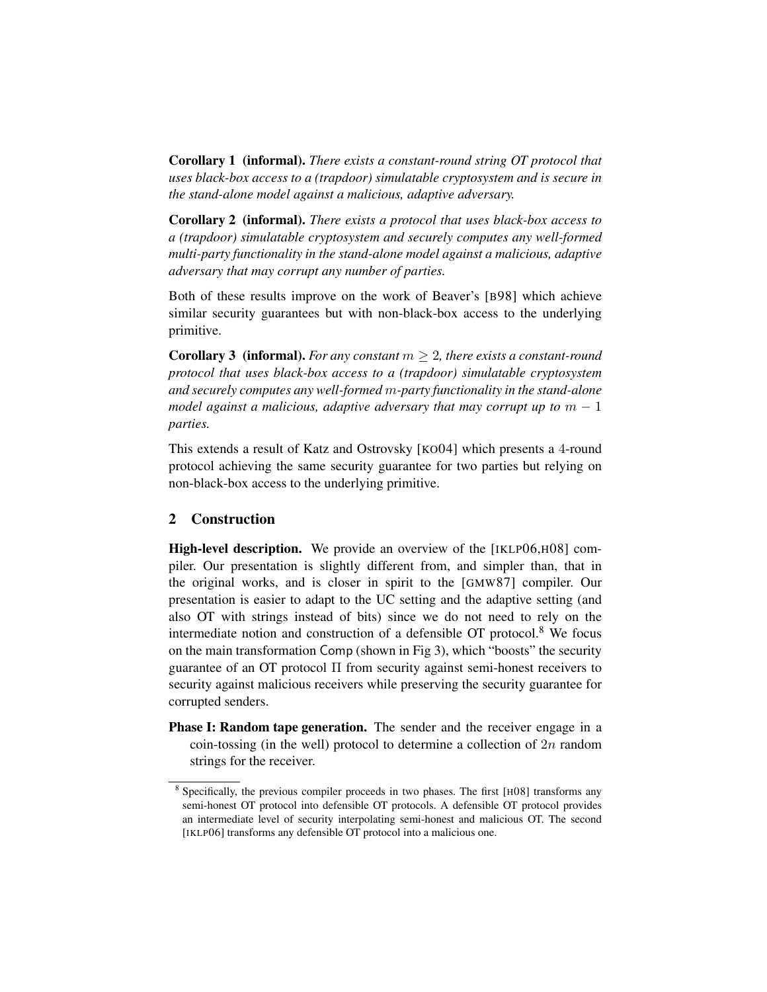Corollary 1 (informal). *There exists a constant-round string OT protocol that uses black-box access to a (trapdoor) simulatable cryptosystem and is secure in the stand-alone model against a malicious, adaptive adversary.*

Corollary 2 (informal). *There exists a protocol that uses black-box access to a (trapdoor) simulatable cryptosystem and securely computes any well-formed multi-party functionality in the stand-alone model against a malicious, adaptive adversary that may corrupt any number of parties.*

Both of these results improve on the work of Beaver's [B98] which achieve similar security guarantees but with non-black-box access to the underlying primitive.

**Corollary 3 (informal).** For any constant  $m \geq 2$ , there exists a constant-round *protocol that uses black-box access to a (trapdoor) simulatable cryptosystem and securely computes any well-formed* m*-party functionality in the stand-alone model against a malicious, adaptive adversary that may corrupt up to*  $m - 1$ *parties.*

This extends a result of Katz and Ostrovsky [KO04] which presents a 4-round protocol achieving the same security guarantee for two parties but relying on non-black-box access to the underlying primitive.

# 2 Construction

High-level description. We provide an overview of the [IKLP06,H08] compiler. Our presentation is slightly different from, and simpler than, that in the original works, and is closer in spirit to the [GMW87] compiler. Our presentation is easier to adapt to the UC setting and the adaptive setting (and also OT with strings instead of bits) since we do not need to rely on the intermediate notion and construction of a defensible OT protocol.<sup>8</sup> We focus on the main transformation Comp (shown in Fig 3), which "boosts" the security guarantee of an OT protocol Π from security against semi-honest receivers to security against malicious receivers while preserving the security guarantee for corrupted senders.

Phase I: Random tape generation. The sender and the receiver engage in a coin-tossing (in the well) protocol to determine a collection of  $2n$  random strings for the receiver.

<sup>&</sup>lt;sup>8</sup> Specifically, the previous compiler proceeds in two phases. The first [H08] transforms any semi-honest OT protocol into defensible OT protocols. A defensible OT protocol provides an intermediate level of security interpolating semi-honest and malicious OT. The second [IKLP06] transforms any defensible OT protocol into a malicious one.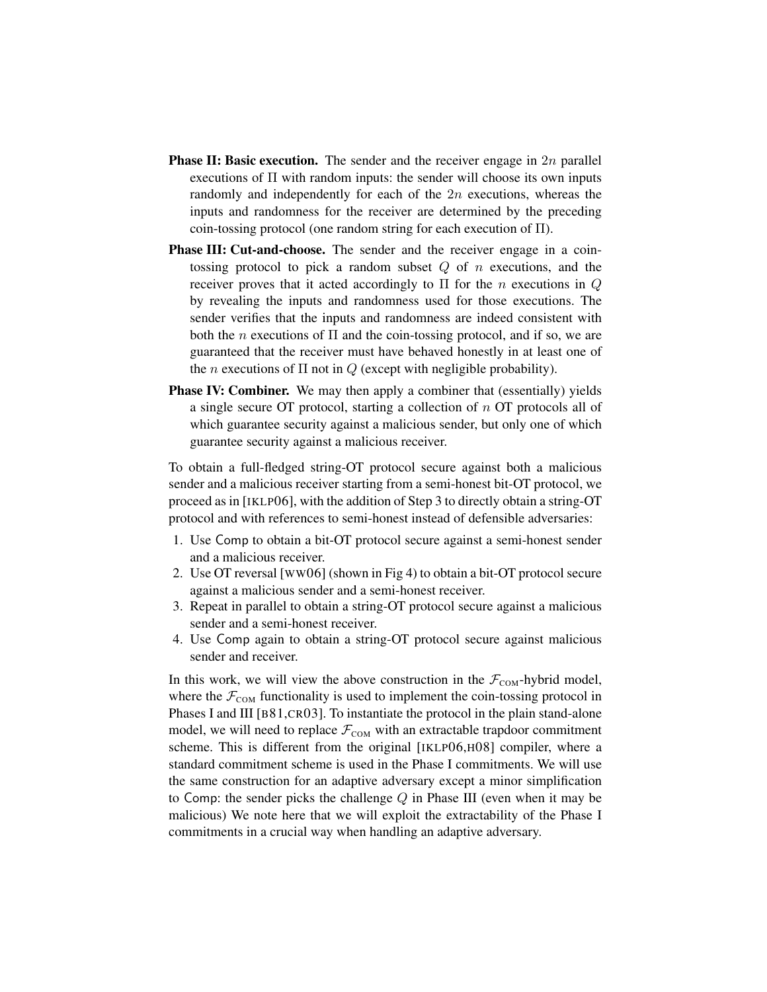- **Phase II: Basic execution.** The sender and the receiver engage in 2n parallel executions of  $\Pi$  with random inputs: the sender will choose its own inputs randomly and independently for each of the  $2n$  executions, whereas the inputs and randomness for the receiver are determined by the preceding coin-tossing protocol (one random string for each execution of Π).
- Phase III: Cut-and-choose. The sender and the receiver engage in a cointossing protocol to pick a random subset  $Q$  of  $n$  executions, and the receiver proves that it acted accordingly to  $\Pi$  for the *n* executions in  $Q$ by revealing the inputs and randomness used for those executions. The sender verifies that the inputs and randomness are indeed consistent with both the *n* executions of  $\Pi$  and the coin-tossing protocol, and if so, we are guaranteed that the receiver must have behaved honestly in at least one of the *n* executions of  $\Pi$  not in  $Q$  (except with negligible probability).
- **Phase IV: Combiner.** We may then apply a combiner that (essentially) yields a single secure OT protocol, starting a collection of n OT protocols all of which guarantee security against a malicious sender, but only one of which guarantee security against a malicious receiver.

To obtain a full-fledged string-OT protocol secure against both a malicious sender and a malicious receiver starting from a semi-honest bit-OT protocol, we proceed as in [IKLP06], with the addition of Step 3 to directly obtain a string-OT protocol and with references to semi-honest instead of defensible adversaries:

- 1. Use Comp to obtain a bit-OT protocol secure against a semi-honest sender and a malicious receiver.
- 2. Use OT reversal [WW06] (shown in Fig 4) to obtain a bit-OT protocol secure against a malicious sender and a semi-honest receiver.
- 3. Repeat in parallel to obtain a string-OT protocol secure against a malicious sender and a semi-honest receiver.
- 4. Use Comp again to obtain a string-OT protocol secure against malicious sender and receiver.

In this work, we will view the above construction in the  $\mathcal{F}_{COM}$ -hybrid model, where the  $\mathcal{F}_{COM}$  functionality is used to implement the coin-tossing protocol in Phases I and III [B81,CR03]. To instantiate the protocol in the plain stand-alone model, we will need to replace  $\mathcal{F}_{COM}$  with an extractable trapdoor commitment scheme. This is different from the original [IKLP06,H08] compiler, where a standard commitment scheme is used in the Phase I commitments. We will use the same construction for an adaptive adversary except a minor simplification to Comp: the sender picks the challenge  $Q$  in Phase III (even when it may be malicious) We note here that we will exploit the extractability of the Phase I commitments in a crucial way when handling an adaptive adversary.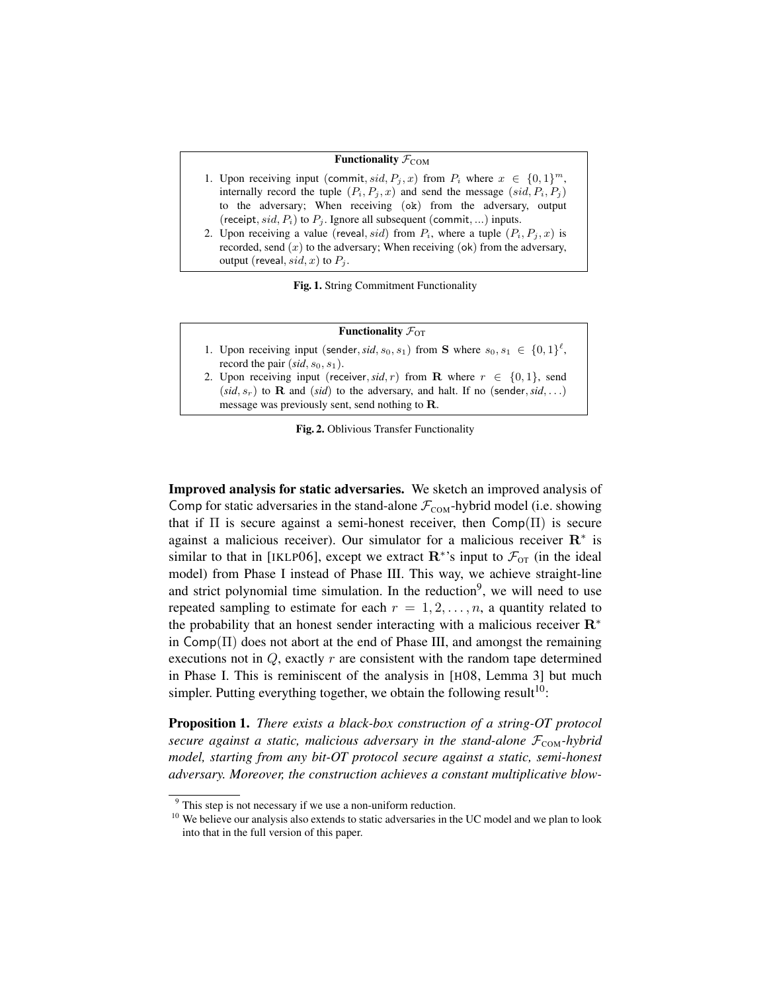#### Functionality  $\mathcal{F}_{COM}$

- 1. Upon receiving input (commit, sid,  $P_j$ , x) from  $P_i$  where  $x \in \{0,1\}^m$ , internally record the tuple  $(P_i, P_j, x)$  and send the message  $(sid, P_i, P_j)$ to the adversary; When receiving (ok) from the adversary, output (receipt,  $sid, P_i$ ) to  $P_j$ . Ignore all subsequent (commit, ...) inputs.
- 2. Upon receiving a value (reveal, sid) from  $P_i$ , where a tuple  $(P_i, P_j, x)$  is recorded, send  $(x)$  to the adversary; When receiving  $(ok)$  from the adversary, output (reveal,  $sid, x$ ) to  $P_i$ .

Fig. 1. String Commitment Functionality

| Functionality $\mathcal{F}_{\text{OT}}$ |  |  |
|-----------------------------------------|--|--|
|-----------------------------------------|--|--|

- 1. Upon receiving input (sender, sid, s<sub>0</sub>, s<sub>1</sub>) from **S** where  $s_0, s_1 \in \{0,1\}^{\ell}$ , record the pair  $(sid, s_0, s_1)$ .
- 2. Upon receiving input (receiver, sid, r) from **R** where  $r \in \{0, 1\}$ , send  $(sid, s_r)$  to **R** and  $(sid)$  to the adversary, and halt. If no (sender,  $sid, \ldots$ ) message was previously sent, send nothing to R.

Fig. 2. Oblivious Transfer Functionality

Improved analysis for static adversaries. We sketch an improved analysis of Comp for static adversaries in the stand-alone  $\mathcal{F}_{COM}$ -hybrid model (i.e. showing that if  $\Pi$  is secure against a semi-honest receiver, then  $Comp(\Pi)$  is secure against a malicious receiver). Our simulator for a malicious receiver  $\mathbb{R}^*$  is similar to that in [IKLP06], except we extract  $\mathbb{R}^*$ 's input to  $\mathcal{F}_{\text{OT}}$  (in the ideal model) from Phase I instead of Phase III. This way, we achieve straight-line and strict polynomial time simulation. In the reduction<sup>9</sup>, we will need to use repeated sampling to estimate for each  $r = 1, 2, \ldots, n$ , a quantity related to the probability that an honest sender interacting with a malicious receiver  $\mathbb{R}^*$ in  $Comp(\Pi)$  does not abort at the end of Phase III, and amongst the remaining executions not in  $Q$ , exactly  $r$  are consistent with the random tape determined in Phase I. This is reminiscent of the analysis in [H08, Lemma 3] but much simpler. Putting everything together, we obtain the following result<sup>10</sup>:

Proposition 1. *There exists a black-box construction of a string-OT protocol secure against a static, malicious adversary in the stand-alone*  $\mathcal{F}_{COM}$ -hybrid *model, starting from any bit-OT protocol secure against a static, semi-honest adversary. Moreover, the construction achieves a constant multiplicative blow-*

 $9$  This step is not necessary if we use a non-uniform reduction.

 $10$  We believe our analysis also extends to static adversaries in the UC model and we plan to look into that in the full version of this paper.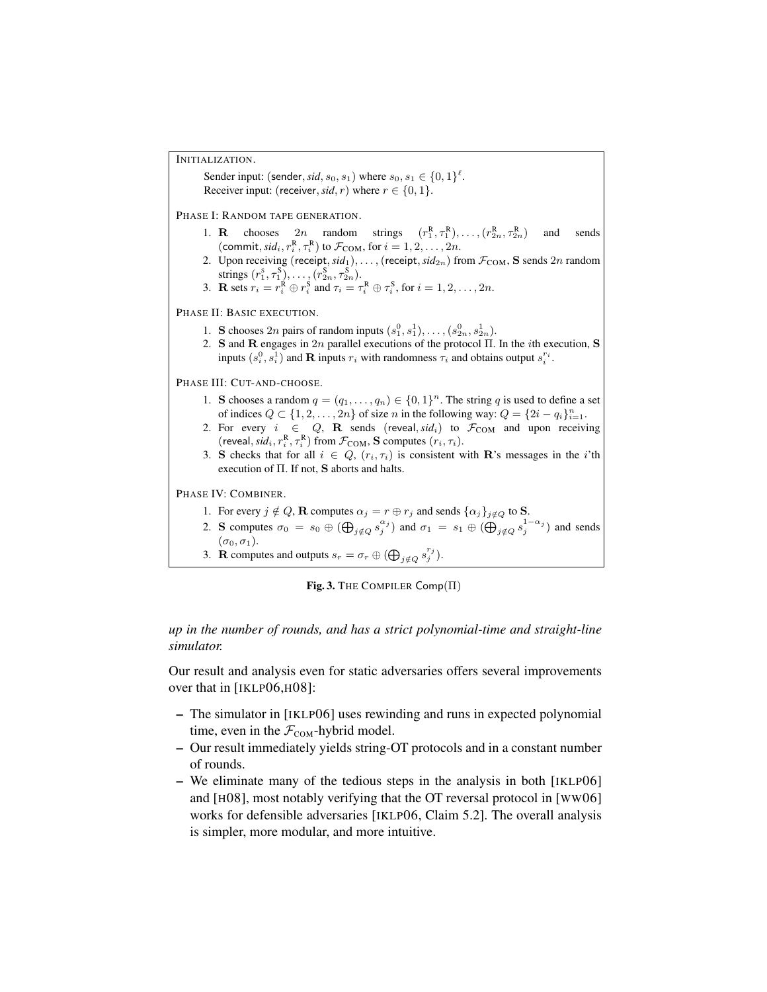INITIALIZATION.

Sender input: (sender,  $sid$ ,  $s_0$ ,  $s_1$ ) where  $s_0$ ,  $s_1 \in \{0,1\}^{\ell}$ . Receiver input: (receiver, *sid*, *r*) where  $r \in \{0, 1\}$ . PHASE I: RANDOM TAPE GENERATION. 1. R chooses  $2n$  random strings  $(r_1^R, \tau_1^R), \ldots, (r_{2n}^R, \tau_{2n}^R)$ and sends (commit,  $sid_i, r_i^R, \tau_i^R$ ) to  $\mathcal{F}_{COM}$ , for  $i = 1, 2, \ldots, 2n$ . 2. Upon receiving (receipt,  $sid_1), \ldots$ , (receipt,  $sid_{2n})$  from  $\mathcal{F}_{\text{COM}}$ , S sends  $2n$  random strings  $(r_1^S, \tau_1^S), \ldots, (r_{2n}^S, \tau_{2n}^S)$ . 3. **R** sets  $r_i = r_i^R \oplus r_i^S$  and  $\tau_i = \tau_i^R \oplus \tau_i^S$ , for  $i = 1, 2, \ldots, 2n$ . PHASE II: BASIC EXECUTION. 1. S chooses  $2n$  pairs of random inputs  $(s_1^0, s_1^1), \ldots, (s_{2n}^0, s_{2n}^1)$ . 2. S and R engages in  $2n$  parallel executions of the protocol Π. In the *i*th execution, S inputs  $(s_i^0, s_i^1)$  and **R** inputs  $r_i$  with randomness  $\tau_i$  and obtains output  $s_i^{r_i}$ . PHASE III: CUT-AND-CHOOSE. 1. S chooses a random  $q = (q_1, \ldots, q_n) \in \{0,1\}^n$ . The string q is used to define a set of indices  $Q \subset \{1, 2, ..., 2n\}$  of size n in the following way:  $Q = \{2i - q_i\}_{i=1}^n$ . 2. For every  $i \in Q$ , **R** sends (reveal, sid<sub>i</sub>) to  $\mathcal{F}_{COM}$  and upon receiving (reveal,  $sid_i, r_i^R, \tau_i^R$ ) from  $\mathcal{F}_{COM}$ , **S** computes  $(r_i, \tau_i)$ . 3. S checks that for all  $i \in Q$ ,  $(r_i, \tau_i)$  is consistent with R's messages in the *i*'th execution of Π. If not, S aborts and halts. PHASE IV: COMBINER. 1. For every  $j \notin Q$ , **R** computes  $\alpha_j = r \oplus r_j$  and sends  $\{\alpha_j\}_{j \notin Q}$  to **S**. 2. S computes  $\sigma_0 = s_0 \oplus (\bigoplus_{j \notin Q} s_j^{\alpha_j})$  and  $\sigma_1 = s_1 \oplus (\bigoplus_{j \notin Q} s_j^{1-\alpha_j})$  and sends  $(\sigma_0,\sigma_1).$ 

3. R computes and outputs  $s_r = \sigma_r \oplus (\bigoplus_{j \notin Q} s_j^{r_j}).$ 



*up in the number of rounds, and has a strict polynomial-time and straight-line simulator.*

Our result and analysis even for static adversaries offers several improvements over that in [IKLP06,H08]:

- The simulator in [IKLP06] uses rewinding and runs in expected polynomial time, even in the  $\mathcal{F}_{COM}$ -hybrid model.
- Our result immediately yields string-OT protocols and in a constant number of rounds.
- We eliminate many of the tedious steps in the analysis in both [IKLP06] and [H08], most notably verifying that the OT reversal protocol in [WW06] works for defensible adversaries [IKLP06, Claim 5.2]. The overall analysis is simpler, more modular, and more intuitive.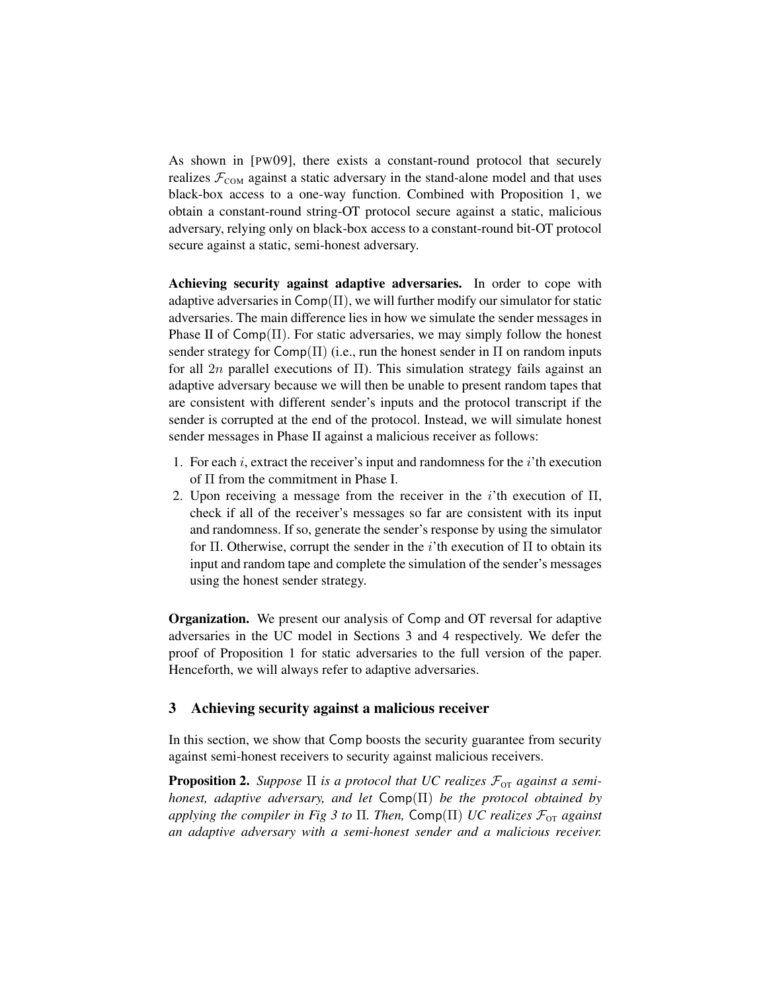As shown in [PW09], there exists a constant-round protocol that securely realizes  $\mathcal{F}_{COM}$  against a static adversary in the stand-alone model and that uses black-box access to a one-way function. Combined with Proposition 1, we obtain a constant-round string-OT protocol secure against a static, malicious adversary, relying only on black-box access to a constant-round bit-OT protocol secure against a static, semi-honest adversary.

Achieving security against adaptive adversaries. In order to cope with adaptive adversaries in  $Comp(\Pi)$ , we will further modify our simulator for static adversaries. The main difference lies in how we simulate the sender messages in Phase II of  $Comp(\Pi)$ . For static adversaries, we may simply follow the honest sender strategy for  $Comp(\Pi)$  (i.e., run the honest sender in  $\Pi$  on random inputs for all 2n parallel executions of  $\Pi$ ). This simulation strategy fails against an adaptive adversary because we will then be unable to present random tapes that are consistent with different sender's inputs and the protocol transcript if the sender is corrupted at the end of the protocol. Instead, we will simulate honest sender messages in Phase II against a malicious receiver as follows:

- 1. For each  $i$ , extract the receiver's input and randomness for the  $i$ 'th execution of Π from the commitment in Phase I.
- 2. Upon receiving a message from the receiver in the *i*'th execution of  $\Pi$ , check if all of the receiver's messages so far are consistent with its input and randomness. If so, generate the sender's response by using the simulator for Π. Otherwise, corrupt the sender in the *i*'th execution of  $\Pi$  to obtain its input and random tape and complete the simulation of the sender's messages using the honest sender strategy.

Organization. We present our analysis of Comp and OT reversal for adaptive adversaries in the UC model in Sections 3 and 4 respectively. We defer the proof of Proposition 1 for static adversaries to the full version of the paper. Henceforth, we will always refer to adaptive adversaries.

# 3 Achieving security against a malicious receiver

In this section, we show that Comp boosts the security guarantee from security against semi-honest receivers to security against malicious receivers.

**Proposition 2.** *Suppose*  $\Pi$  *is a protocol that UC realizes*  $\mathcal{F}_{\text{OT}}$  *against a semihonest, adaptive adversary, and let* Comp(Π) *be the protocol obtained by applying the compiler in Fig 3 to*  $\Pi$ . Then,  $\text{Comp}(\Pi)$  *UC realizes*  $\mathcal{F}_{\text{OT}}$  *against an adaptive adversary with a semi-honest sender and a malicious receiver.*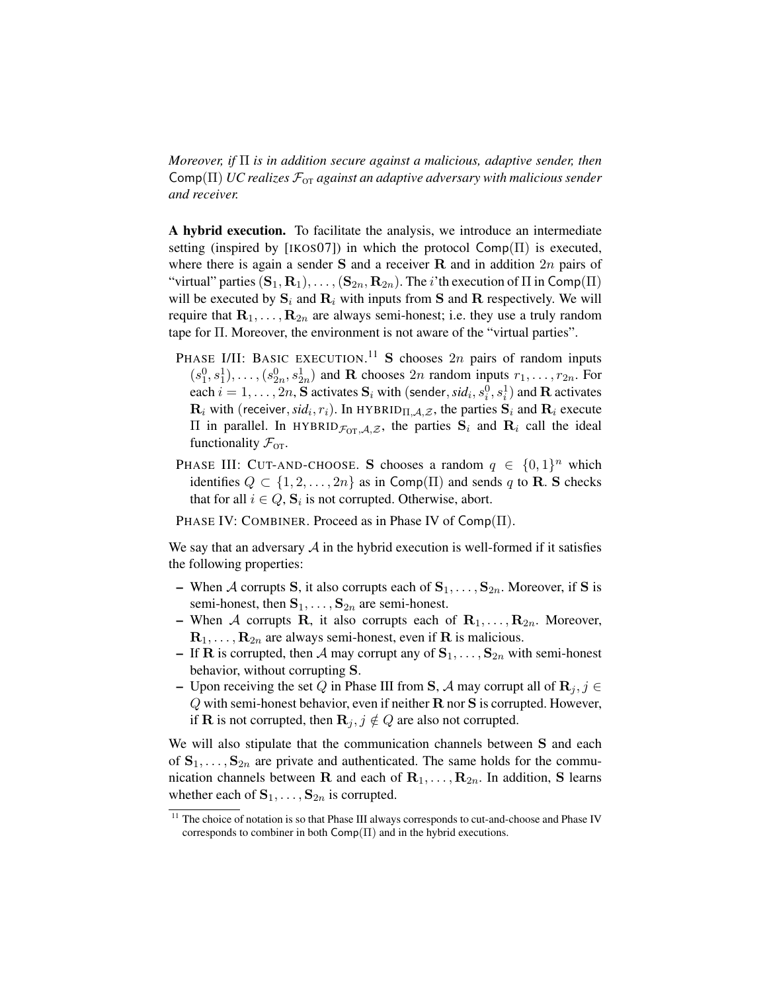*Moreover, if* Π *is in addition secure against a malicious, adaptive sender, then* Comp( $\Pi$ ) *UC realizes*  $\mathcal{F}_{\text{OT}}$  *against an adaptive adversary with malicious sender and receiver.*

A hybrid execution. To facilitate the analysis, we introduce an intermediate setting (inspired by [IKOSO7]) in which the protocol  $Comp(\Pi)$  is executed, where there is again a sender  $S$  and a receiver  $R$  and in addition  $2n$  pairs of "virtual" parties  $({\bf S}_1, {\bf R}_1), \ldots, ({\bf S}_{2n}, {\bf R}_{2n})$ . The *i*'th execution of  $\Pi$  in  $\mathsf{Comp}(\Pi)$ will be executed by  $S_i$  and  $R_i$  with inputs from S and R respectively. We will require that  $\mathbf{R}_1, \ldots, \mathbf{R}_{2n}$  are always semi-honest; i.e. they use a truly random tape for Π. Moreover, the environment is not aware of the "virtual parties".

- PHASE I/II: BASIC EXECUTION.<sup>11</sup> S chooses 2n pairs of random inputs  $(s_1^0, s_1^1), \ldots, (s_{2n}^0, s_{2n}^1)$  and **R** chooses  $2n$  random inputs  $r_1, \ldots, r_{2n}$ . For each  $i=1,\ldots,\bar{2}n,$   ${\bf S}$  activates  ${\bf S}_i$  with (sender,  $sid_i,s_i^0,s_i^1)$  and  ${\bf R}$  activates  ${\bf R}_i$  with (receiver,  $sid_i, r_i$ ). In HYBRID<sub>II, A, Z</sub>, the parties  ${\bf S}_i$  and  ${\bf R}_i$  execute Π in parallel. In HYBRID $_{\mathcal{F}_{OT}, \mathcal{A}, \mathcal{Z}}$ , the parties  $\mathbf{S}_i$  and  $\mathbf{R}_i$  call the ideal functionality  $\mathcal{F}_{\text{OT}}$ .
- PHASE III: CUT-AND-CHOOSE. S chooses a random  $q \in \{0,1\}^n$  which identifies  $Q \subset \{1, 2, ..., 2n\}$  as in Comp( $\Pi$ ) and sends q to **R**. S checks that for all  $i \in Q$ ,  $\mathbf{S}_i$  is not corrupted. Otherwise, abort.

PHASE IV: COMBINER. Proceed as in Phase IV of  $\mathsf{Comp}(\Pi)$ .

We say that an adversary  $A$  in the hybrid execution is well-formed if it satisfies the following properties:

- When A corrupts S, it also corrupts each of  $S_1, \ldots, S_{2n}$ . Moreover, if S is semi-honest, then  $S_1, \ldots, S_{2n}$  are semi-honest.
- When A corrupts R, it also corrupts each of  $R_1, \ldots, R_{2n}$ . Moreover,  $\mathbf{R}_1, \ldots, \mathbf{R}_{2n}$  are always semi-honest, even if **R** is malicious.
- If **R** is corrupted, then A may corrupt any of  $S_1, \ldots, S_{2n}$  with semi-honest behavior, without corrupting S.
- Upon receiving the set Q in Phase III from S, A may corrupt all of  $\mathbf{R}_i, j \in$  $Q$  with semi-honest behavior, even if neither  $R$  nor  $S$  is corrupted. However, if **R** is not corrupted, then  $\mathbf{R}_i$ ,  $j \notin Q$  are also not corrupted.

We will also stipulate that the communication channels between S and each of  $S_1, \ldots, S_{2n}$  are private and authenticated. The same holds for the communication channels between **R** and each of  $\mathbf{R}_1, \ldots, \mathbf{R}_{2n}$ . In addition, **S** learns whether each of  $S_1, \ldots, S_{2n}$  is corrupted.

<sup>&</sup>lt;sup>11</sup> The choice of notation is so that Phase III always corresponds to cut-and-choose and Phase IV corresponds to combiner in both  $\mathsf{Comp}(\Pi)$  and in the hybrid executions.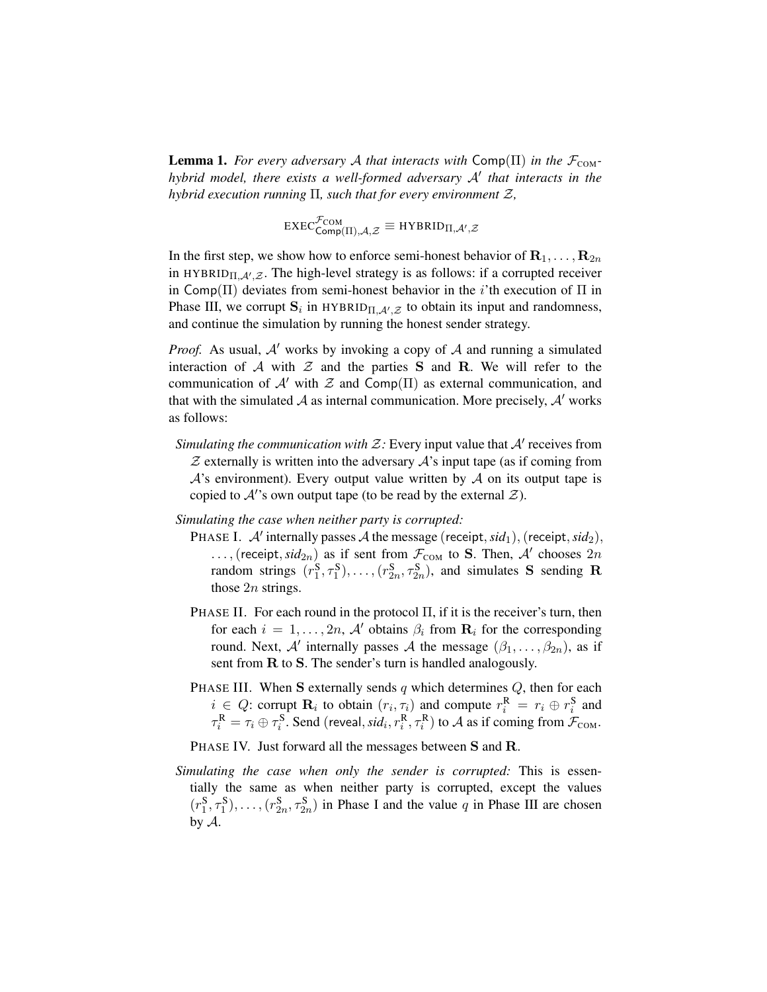**Lemma 1.** For every adversary A that interacts with Comp( $\Pi$ ) in the  $\mathcal{F}_{COM}$ hybrid model, there exists a well-formed adversary  $A'$  that interacts in the *hybrid execution running* Π*, such that for every environment* Z*,*

$$
\text{EXEC}^{\mathcal{F}_{\text{COM}}}_{\text{Comp}(\Pi),\mathcal{A},\mathcal{Z}} \equiv \text{HYBRID}_{\Pi,\mathcal{A}',\mathcal{Z}}
$$

In the first step, we show how to enforce semi-honest behavior of  $\mathbf{R}_1, \ldots, \mathbf{R}_{2n}$ in HYBRID<sub>II, $A', z$ </sub>. The high-level strategy is as follows: if a corrupted receiver in Comp( $\Pi$ ) deviates from semi-honest behavior in the *i*'th execution of  $\Pi$  in Phase III, we corrupt  $S_i$  in HYBRID<sub>II, $A_i$ </sub> to obtain its input and randomness, and continue the simulation by running the honest sender strategy.

*Proof.* As usual,  $A'$  works by invoking a copy of  $A$  and running a simulated interaction of A with  $\mathcal Z$  and the parties S and R. We will refer to the communication of A' with  $\mathcal Z$  and Comp(Π) as external communication, and that with the simulated  $A$  as internal communication. More precisely,  $A'$  works as follows:

- Simulating the communication with  $\mathcal{Z}$ : Every input value that  $\mathcal{A}'$  receives from  $Z$  externally is written into the adversary  $A$ 's input tape (as if coming from  $A$ 's environment). Every output value written by  $A$  on its output tape is copied to  $\mathcal{A}$ 's own output tape (to be read by the external  $\mathcal{Z}$ ).
- *Simulating the case when neither party is corrupted:*
	- PHASE I.  $\mathcal{A}'$  internally passes  $\mathcal{A}$  the message (receipt,  $sid_1$ ), (receipt,  $sid_2$ ), ..., (receipt,  $sid_{2n}$ ) as if sent from  $\mathcal{F}_{COM}$  to S. Then,  $\mathcal{A}'$  chooses  $2n$ random strings  $(r_1^S, \tau_1^S), \ldots, (r_{2n}^S, \tau_{2n}^S)$ , and simulates **S** sending **R** those  $2n$  strings.
	- PHASE II. For each round in the protocol  $\Pi$ , if it is the receiver's turn, then for each  $i = 1, \ldots, 2n$ , A' obtains  $\beta_i$  from  $\mathbf{R}_i$  for the corresponding round. Next, A' internally passes A the message  $(\beta_1, \dots, \beta_{2n})$ , as if sent from **R** to **S**. The sender's turn is handled analogously.
	- PHASE III. When S externally sends q which determines  $Q$ , then for each  $i \in Q$ : corrupt  $\mathbf{R}_i$  to obtain  $(r_i, \tau_i)$  and compute  $r_i^{\mathbf{R}} = r_i \oplus r_i^{\mathbf{S}}$  and  $\tau_i^{\mathsf{R}} = \tau_i \oplus \tau_i^{\mathsf{S}}$ . Send (reveal,  $sid_i, r_i^{\mathsf{R}}, \tau_i^{\mathsf{R}})$  to  ${\cal A}$  as if coming from  $\mathcal{F}_{\texttt{COM}}$ .

PHASE IV. Just forward all the messages between S and R.

*Simulating the case when only the sender is corrupted:* This is essentially the same as when neither party is corrupted, except the values  $(r_1^S, \tau_1^S), \ldots, (r_{2n}^S, \tau_{2n}^S)$  in Phase I and the value q in Phase III are chosen by A.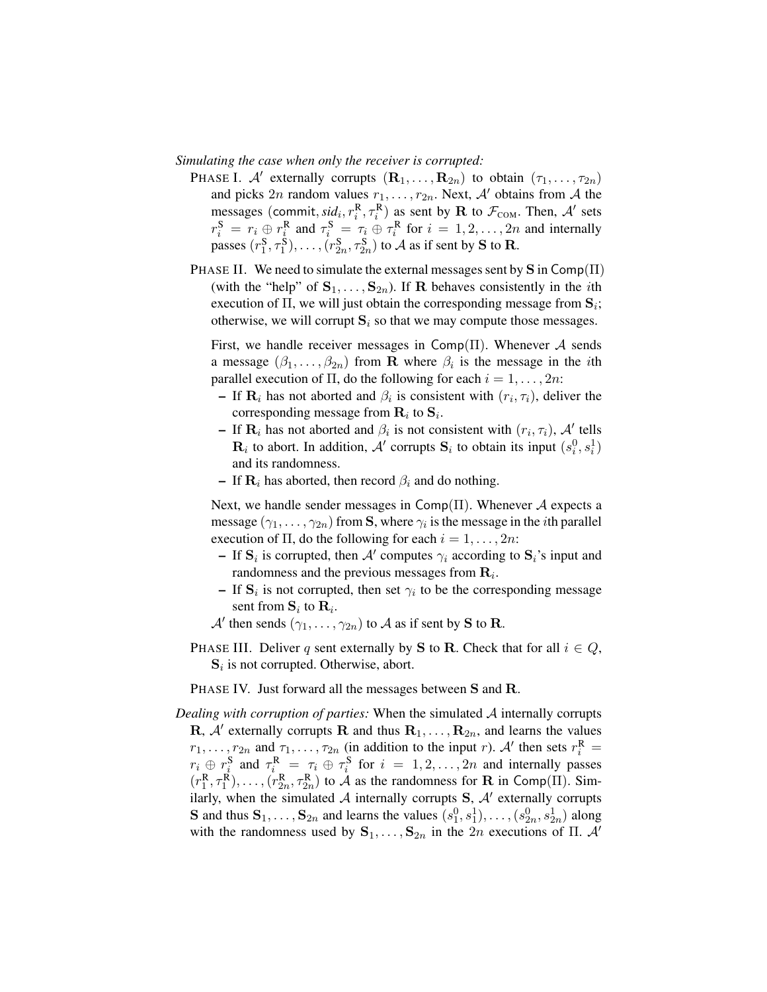*Simulating the case when only the receiver is corrupted:*

- PHASE I. A' externally corrupts  $(\mathbf{R}_1, \ldots, \mathbf{R}_{2n})$  to obtain  $(\tau_1, \ldots, \tau_{2n})$ and picks  $2n$  random values  $r_1, \ldots, r_{2n}$ . Next,  $\mathcal{A}'$  obtains from  $\mathcal{A}$  the messages (commit,  $sid_i, r_i^R, \tau_i^R$ ) as sent by **R** to  $\mathcal{F}_{COM}$ . Then, A' sets  $r_i^S = r_i \oplus r_i^R$  and  $\tau_i^S = \tau_i \oplus \tau_i^R$  for  $i = 1, 2, ..., 2n$  and internally passes  $(r_1^S, \tau_1^S), \ldots, (r_{2n}^S, \tau_{2n}^S)$  to A as if sent by S to R.
- PHASE II. We need to simulate the external messages sent by S in  $\mathsf{Comp}(\Pi)$ (with the "help" of  $S_1, \ldots, S_{2n}$ ). If R behaves consistently in the *i*th execution of  $\Pi$ , we will just obtain the corresponding message from  $\mathbf{S}_i$ ; otherwise, we will corrupt  $S_i$  so that we may compute those messages.

First, we handle receiver messages in  $\mathsf{Comp}(\Pi)$ . Whenever A sends a message  $(\beta_1, \dots, \beta_{2n})$  from **R** where  $\beta_i$  is the message in the *i*th parallel execution of Π, do the following for each  $i = 1, \ldots, 2n$ :

- If  $\mathbf{R}_i$  has not aborted and  $\beta_i$  is consistent with  $(r_i, \tau_i)$ , deliver the corresponding message from  $\mathbf{R}_i$  to  $\mathbf{S}_i$ .
- If  $\mathbf{R}_i$  has not aborted and  $\beta_i$  is not consistent with  $(r_i, \tau_i)$ , A' tells  $\mathbf{R}_i$  to abort. In addition, A' corrupts  $\mathbf{S}_i$  to obtain its input  $(s_i^0, s_i^1)$ and its randomness.
- If  $\mathbf{R}_i$  has aborted, then record  $\beta_i$  and do nothing.

Next, we handle sender messages in  $Comp(\Pi)$ . Whenever A expects a message  $(\gamma_1,\ldots,\gamma_{2n})$  from  $\mathbf S,$  where  $\gamma_i$  is the message in the  $i$ th parallel execution of Π, do the following for each  $i = 1, \ldots, 2n$ :

- If  $S_i$  is corrupted, then A' computes  $\gamma_i$  according to  $S_i$ 's input and randomness and the previous messages from  $\mathbf{R}_i$ .
- If  $S_i$  is not corrupted, then set  $\gamma_i$  to be the corresponding message sent from  $\mathbf{S}_i$  to  $\mathbf{R}_i$ .
- A' then sends  $(\gamma_1, \ldots, \gamma_{2n})$  to A as if sent by S to R.
- PHASE III. Deliver q sent externally by S to R. Check that for all  $i \in Q$ ,  $S_i$  is not corrupted. Otherwise, abort.

PHASE IV. Just forward all the messages between S and R.

*Dealing with corruption of parties:* When the simulated A internally corrupts **R**,  $\mathcal{A}'$  externally corrupts **R** and thus  $\mathbf{R}_1, \ldots, \mathbf{R}_{2n}$ , and learns the values  $r_1, \ldots, r_{2n}$  and  $\tau_1, \ldots, \tau_{2n}$  (in addition to the input r). A' then sets  $r_i^R$  =  $r_i \oplus r_i^S$  and  $\tau_i^R = \tau_i \oplus \tau_i^S$  for  $i = 1, 2, ..., 2n$  and internally passes  $(r_1^R, \tau_1^R), \ldots, (r_{2n}^R, \tau_{2n}^R)$  to A as the randomness for **R** in Comp(II). Similarly, when the simulated  $A$  internally corrupts  $S$ ,  $A'$  externally corrupts **S** and thus  $S_1, \ldots, S_{2n}$  and learns the values  $(s_1^0, s_1^1), \ldots, (s_{2n}^0, s_{2n}^1)$  along with the randomness used by  $S_1, \ldots, S_{2n}$  in the  $2n$  executions of  $\Pi$ . A'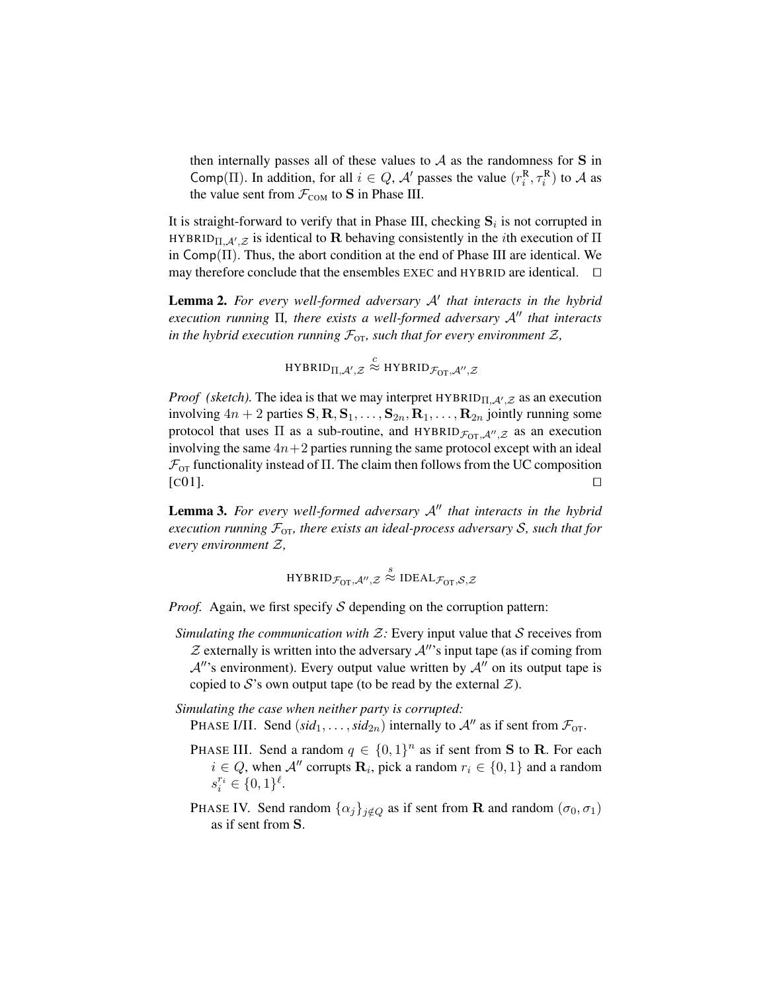then internally passes all of these values to  $A$  as the randomness for S in Comp(Π). In addition, for all  $i \in Q$ , A' passes the value  $(r_i^R, \tau_i^R)$  to A as the value sent from  $\mathcal{F}_{COM}$  to S in Phase III.

It is straight-forward to verify that in Phase III, checking  $S_i$  is not corrupted in HYBRID<sub>II, $A'$ , $\mathcal Z$  is identical to **R** behaving consistently in the *i*th execution of  $\Pi$ </sub> in  $Comp(\Pi)$ . Thus, the abort condition at the end of Phase III are identical. We may therefore conclude that the ensembles EXEC and HYBRID are identical.  $\square$ 

**Lemma 2.** For every well-formed adversary A' that interacts in the hybrid *execution running* Π, there exists a well-formed adversary  $A<sup>′′</sup>$  that interacts *in the hybrid execution running*  $\mathcal{F}_{\text{OT}}$ *, such that for every environment*  $\mathcal{Z}_i$ *,* 

$$
\text{HYBRID}_{\Pi,\mathcal{A}',\mathcal{Z}} \overset{c}{\approx} \text{HYBRID}_{\mathcal{F}_{\text{OT}},\mathcal{A}'',\mathcal{Z}}
$$

*Proof (sketch)*. The idea is that we may interpret  $HYBRID_{\Pi,\mathcal{A}',\mathcal{Z}}$  as an execution involving  $4n + 2$  parties  $S, R, S_1, \ldots, S_{2n}, R_1, \ldots, R_{2n}$  jointly running some protocol that uses  $\Pi$  as a sub-routine, and HYBRID $_{\mathcal{F}_{OT}, \mathcal{A}'', \mathcal{Z}}$  as an execution involving the same  $4n+2$  parties running the same protocol except with an ideal  $\mathcal{F}_{\text{OT}}$  functionality instead of  $\Pi$ . The claim then follows from the UC composition  $[CO1]$ .

**Lemma 3.** For every well-formed adversary  $A''$  that interacts in the hybrid *execution running*  $\mathcal{F}_{OT}$ *, there exists an ideal-process adversary* S, such that for *every environment* Z*,*

$$
\mathsf{HYBRID}_{\mathcal{F}_{\text{OT}},\mathcal{A}'',\mathcal{Z}} \stackrel{s}{\approx} \mathsf{IDEAL}_{\mathcal{F}_{\text{OT}},\mathcal{S},\mathcal{Z}}
$$

*Proof.* Again, we first specify S depending on the corruption pattern:

- *Simulating the communication with*  $\mathcal{Z}$ *:* Every input value that S receives from  $Z$  externally is written into the adversary  $A''$ 's input tape (as if coming from  $A''$ 's environment). Every output value written by  $A''$  on its output tape is copied to S's own output tape (to be read by the external  $\mathcal{Z}$ ).
- *Simulating the case when neither party is corrupted:* PHASE I/II. Send  $(sid_1, \ldots, sid_{2n})$  internally to  $\mathcal{A}''$  as if sent from  $\mathcal{F}_{\text{OT}}$ .
	- PHASE III. Send a random  $q \in \{0,1\}^n$  as if sent from **S** to **R**. For each  $i \in Q$ , when  $\mathcal{A}''$  corrupts  $\mathbf{R}_i$ , pick a random  $r_i \in \{0, 1\}$  and a random  $s_i^{r_i} \in \{0,1\}^{\ell}.$
	- PHASE IV. Send random  $\{\alpha_j\}_{j \notin Q}$  as if sent from **R** and random  $(\sigma_0, \sigma_1)$ as if sent from S.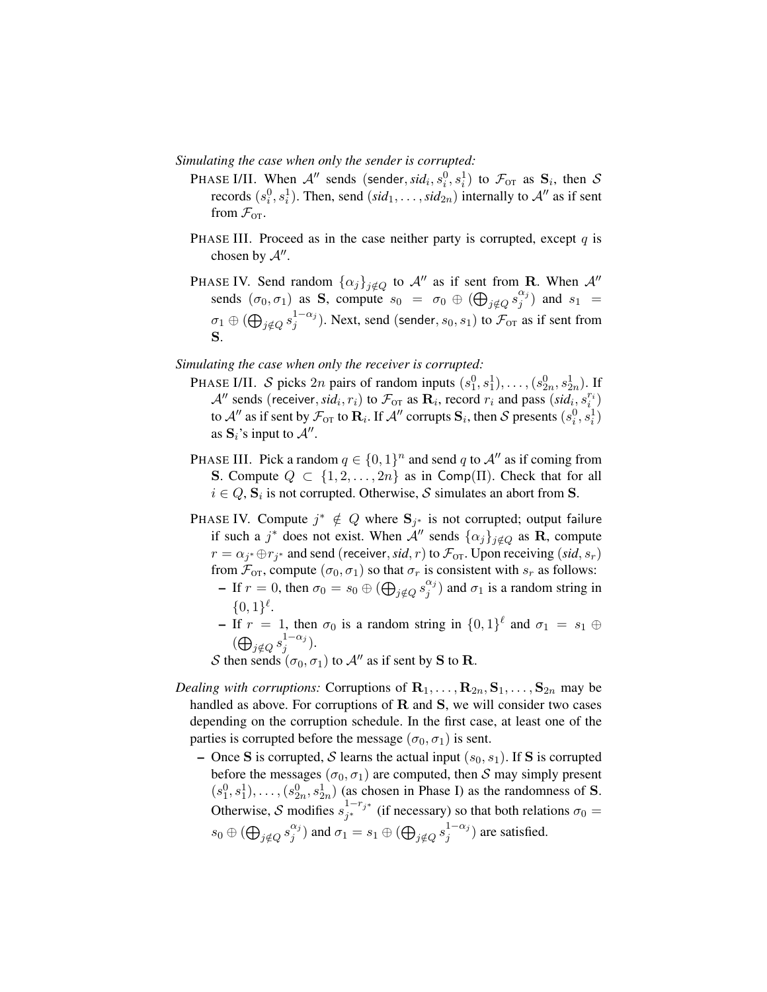*Simulating the case when only the sender is corrupted:*

- PHASE I/II. When  $\mathcal{A}''$  sends (sender,  $sid_i, s_i^0, s_i^1$ ) to  $\mathcal{F}_{OT}$  as  $\mathbf{S}_i$ , then  $\mathcal{S}$ records  $(s_i^0, s_i^1)$ . Then, send  $(sid_1, \ldots, sid_{2n})$  internally to  $\mathcal{A}''$  as if sent from  $\mathcal{F}_{\text{OT}}$ .
- PHASE III. Proceed as in the case neither party is corrupted, except  $q$  is chosen by  $A''$ .
- PHASE IV. Send random  $\{\alpha_j\}_{j \notin Q}$  to  $\mathcal{A}''$  as if sent from **R**. When  $\mathcal{A}''$ sends  $(\sigma_0, \sigma_1)$  as S, compute  $s_0 = \sigma_0 \oplus (\bigoplus_{j \notin Q} s_j^{\alpha_j})$  $j^{(\alpha_j)}$  and  $s_1 =$  $\sigma_1 \oplus (\bigoplus_{j \notin Q} s_j^{1-\alpha_j}$  $j^{1-\alpha_j}$ ). Next, send (sender,  $s_0, s_1$ ) to  $\mathcal{F}_{\text{OT}}$  as if sent from S.

### *Simulating the case when only the receiver is corrupted:*

- PHASE I/II. S picks  $2n$  pairs of random inputs  $(s_1^0, s_1^1), \ldots, (s_{2n}^0, s_{2n}^1)$ . If  $A''$  sends (receiver, sid<sub>i</sub>,  $r_i$ ) to  $\mathcal{F}_{\text{OT}}$  as  $\overline{\mathbf{R}_i}$ , record  $r_i$  and pass  $(sid_i, s_i^{r_i})$ to  $\mathcal{A}''$  as if sent by  $\mathcal{F}_{\text{OT}}$  to  $\mathbf{R}_i$ . If  $\mathcal{A}''$  corrupts  $\mathbf{S}_i$ , then  $\mathcal{S}$  presents  $(s_i^0, s_i^1)$ as  $S_i$ 's input to  $A''$ .
- PHASE III. Pick a random  $q \in \{0, 1\}^n$  and send q to  $\mathcal{A}''$  as if coming from S. Compute  $Q \subset \{1, 2, ..., 2n\}$  as in Comp(Π). Check that for all  $i \in Q$ ,  $\mathbf{S}_i$  is not corrupted. Otherwise, S simulates an abort from S.
- PHASE IV. Compute  $j^* \notin Q$  where  $\mathbf{S}_{j^*}$  is not corrupted; output failure if such a  $j^*$  does not exist. When  $\mathcal{A}''$  sends  $\{\alpha_j\}_{j \notin Q}$  as **R**, compute  $r = \alpha_{j^*} \oplus r_{j^*}$  and send (receiver, *sid*, *r*) to  $\mathcal{F}_{\text{OT}}$ . Upon receiving (*sid*,  $s_r$ ) from  $\mathcal{F}_{\text{OT}}$ , compute  $(\sigma_0, \sigma_1)$  so that  $\sigma_r$  is consistent with  $s_r$  as follows:
	- If  $r = 0$ , then  $\sigma_0 = s_0 \oplus (\bigoplus_{j \notin Q} s_j^{\alpha_j})$  $\binom{\alpha_j}{j}$  and  $\sigma_1$  is a random string in  ${0,1}^{\ell}.$
	- If  $r = 1$ , then  $\sigma_0$  is a random string in  $\{0, 1\}^{\ell}$  and  $\sigma_1 = s_1 \oplus$  $\left(\bigoplus_{j\notin Q} s_j^{1-\alpha_j}\right)$  $j^{1-\alpha_j}$ ).
	- S then sends  $(\sigma_0, \sigma_1)$  to  $\mathcal{A}''$  as if sent by S to R.
- *Dealing with corruptions:* Corruptions of  $\mathbf{R}_1, \ldots, \mathbf{R}_{2n}, \mathbf{S}_1, \ldots, \mathbf{S}_{2n}$  may be handled as above. For corruptions of  $R$  and  $S$ , we will consider two cases depending on the corruption schedule. In the first case, at least one of the parties is corrupted before the message  $(\sigma_0, \sigma_1)$  is sent.
	- Once S is corrupted, S learns the actual input  $(s_0, s_1)$ . If S is corrupted before the messages ( $\sigma_0$ ,  $\sigma_1$ ) are computed, then S may simply present  $(s_1^0, s_1^1), \ldots, (s_{2n}^0, s_{2n}^1)$  (as chosen in Phase I) as the randomness of **S**. Otherwise, S modifies  $s_{i^*}^{1-r_{j^*}}$  $j_i^{1-\gamma}$ <sup>1</sup> (if necessary) so that both relations  $\sigma_0 =$  $s_0 \oplus (\bigoplus_{j \notin Q} s_j^{\alpha_j})$  $j^{(\alpha_j)}$  and  $\sigma_1 = s_1 \oplus (\bigoplus_{j \notin Q} s_j^{1-\alpha_j})$  $j^{1-\alpha_j}$ ) are satisfied.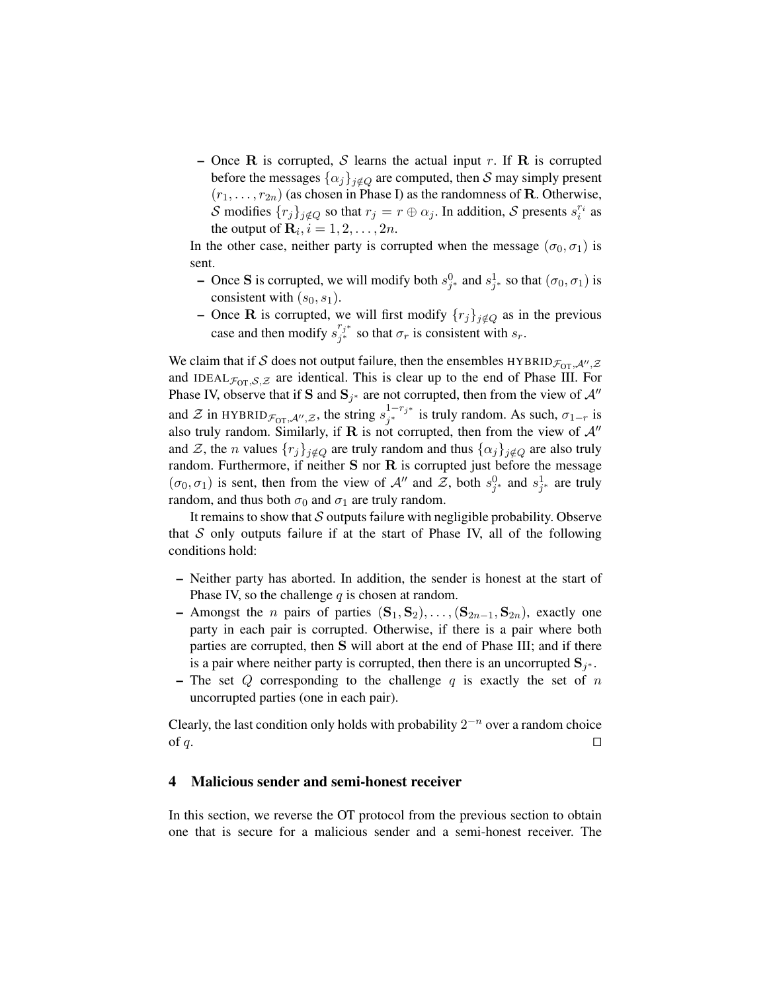– Once R is corrupted, S learns the actual input r. If R is corrupted before the messages  $\{\alpha_j\}_{j \notin Q}$  are computed, then S may simply present  $(r_1, \ldots, r_{2n})$  (as chosen in Phase I) as the randomness of **R**. Otherwise, S modifies  $\{r_j\}_{j \notin Q}$  so that  $r_j = r \oplus \alpha_j$ . In addition, S presents  $s_i^{r_i}$  as the output of  $\mathbf{R}_i$ ,  $i = 1, 2, \dots, 2n$ .

In the other case, neither party is corrupted when the message  $(\sigma_0, \sigma_1)$  is sent.

- − Once S is corrupted, we will modify both  $s_{j^*}^0$  and  $s_{j^*}^1$  so that  $(σ_0, σ_1)$  is consistent with  $(s_0, s_1)$ .
- Once R is corrupted, we will first modify  $\{r_j\}_{j \notin Q}$  as in the previous case and then modify  $s_{i*}^{r_j*}$  $j^{j*}$  so that  $\sigma_r$  is consistent with  $s_r$ .

We claim that if S does not output failure, then the ensembles  $HYBRID_{\mathcal{F}_{OT},\mathcal{A}'',\mathcal{Z}}$ and IDEAL $_{\mathcal{F}_{OT},\mathcal{S},\mathcal{Z}}$  are identical. This is clear up to the end of Phase III. For Phase IV, observe that if S and  $S_{j^*}$  are not corrupted, then from the view of  $\mathcal{A}''$ and  $\mathcal Z$  in HYBRID  $_{\mathcal F_{\text{OT}},\mathcal A'',\mathcal Z}$ , the string  $s_{j*}^{1-r_{j*}}$  $j^{1-r}j^{*}$  is truly random. As such,  $\sigma_{1-r}$  is also truly random. Similarly, if R is not corrupted, then from the view of  $\mathcal{A}^{\prime\prime}$ and Z, the n values  $\{r_j\}_{j \notin Q}$  are truly random and thus  $\{\alpha_j\}_{j \notin Q}$  are also truly random. Furthermore, if neither  $S$  nor  $R$  is corrupted just before the message  $(\sigma_0, \sigma_1)$  is sent, then from the view of  $\mathcal{A}''$  and  $\mathcal{Z}$ , both  $s_{j^*}^0$  and  $s_{j^*}^1$  are truly random, and thus both  $\sigma_0$  and  $\sigma_1$  are truly random.

It remains to show that  $S$  outputs failure with negligible probability. Observe that  $S$  only outputs failure if at the start of Phase IV, all of the following conditions hold:

- Neither party has aborted. In addition, the sender is honest at the start of Phase IV, so the challenge  $q$  is chosen at random.
- Amongst the *n* pairs of parties  $({\bf S}_1, {\bf S}_2), \ldots, ({\bf S}_{2n-1}, {\bf S}_{2n})$ , exactly one party in each pair is corrupted. Otherwise, if there is a pair where both parties are corrupted, then S will abort at the end of Phase III; and if there is a pair where neither party is corrupted, then there is an uncorrupted  $S_{j^*}$ .
- The set  $Q$  corresponding to the challenge  $q$  is exactly the set of  $n$ uncorrupted parties (one in each pair).

Clearly, the last condition only holds with probability  $2^{-n}$  over a random choice of q.

# 4 Malicious sender and semi-honest receiver

In this section, we reverse the OT protocol from the previous section to obtain one that is secure for a malicious sender and a semi-honest receiver. The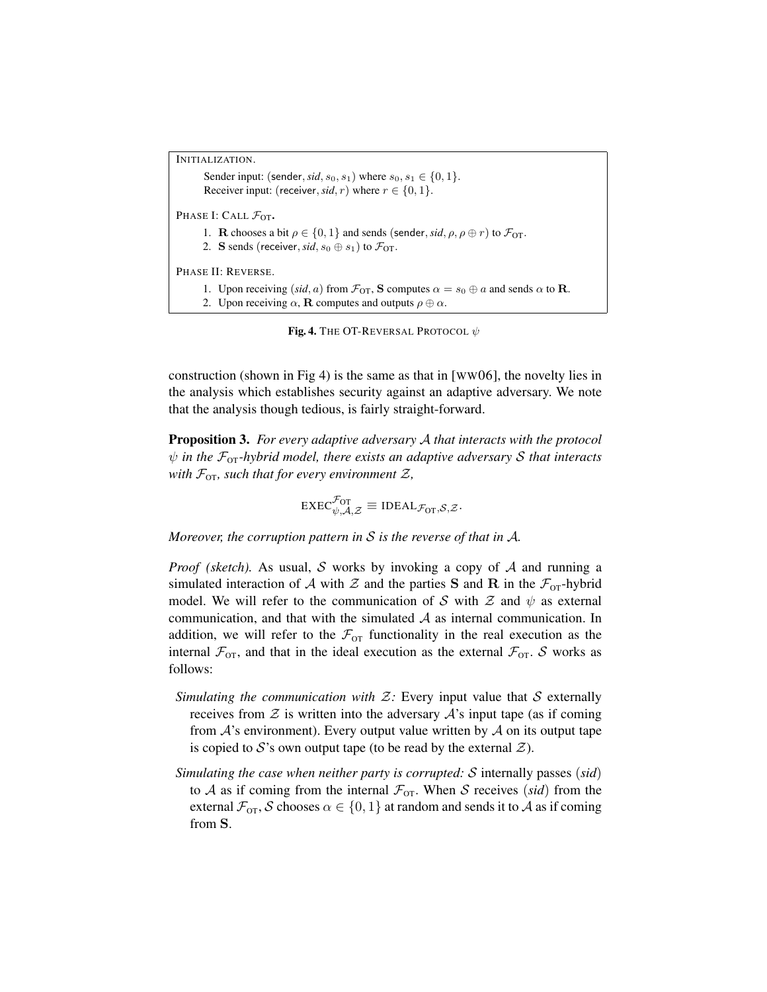INITIALIZATION. Sender input: (sender,  $sid$ ,  $s_0$ ,  $s_1$ ) where  $s_0$ ,  $s_1 \in \{0, 1\}$ . Receiver input: (receiver, *sid*, *r*) where  $r \in \{0, 1\}$ . PHASE I: CALL  $\mathcal{F}_{\text{OT}}$ . 1. **R** chooses a bit  $\rho \in \{0, 1\}$  and sends (sender, sid,  $\rho, \rho \oplus r$ ) to  $\mathcal{F}_{OT}$ . 2. S sends (receiver,  $sid$ ,  $s_0 \oplus s_1$ ) to  $\mathcal{F}_{OT}$ . PHASE II: REVERSE. 1. Upon receiving  $(sid, a)$  from  $\mathcal{F}_{OT}$ , S computes  $\alpha = s_0 \oplus a$  and sends  $\alpha$  to R. 2. Upon receiving  $\alpha$ , **R** computes and outputs  $\rho \oplus \alpha$ .

Fig. 4. THE OT-REVERSAL PROTOCOL  $\psi$ 

construction (shown in Fig 4) is the same as that in [WW06], the novelty lies in the analysis which establishes security against an adaptive adversary. We note that the analysis though tedious, is fairly straight-forward.

Proposition 3. *For every adaptive adversary* A *that interacts with the protocol*  $\psi$  *in the*  $\mathcal{F}_{\text{OT}}$ -hybrid model, there exists an adaptive adversary S that interacts *with*  $\mathcal{F}_{\text{OT}}$ *, such that for every environment*  $\mathcal{Z}_n$ *,* 

$$
\mathrm{EXEC}^{\mathcal{F}_{\mathrm{OT}}}_{\psi,\mathcal{A},\mathcal{Z}}\equiv \mathrm{IDEAL}_{\mathcal{F}_{\mathrm{OT}},\mathcal{S},\mathcal{Z}}.
$$

*Moreover, the corruption pattern in* S *is the reverse of that in* A*.*

*Proof (sketch).* As usual, S works by invoking a copy of A and running a simulated interaction of A with Z and the parties S and R in the  $\mathcal{F}_{\text{OT}}$ -hybrid model. We will refer to the communication of S with  $\mathcal Z$  and  $\psi$  as external communication, and that with the simulated  $A$  as internal communication. In addition, we will refer to the  $\mathcal{F}_{OT}$  functionality in the real execution as the internal  $\mathcal{F}_{OT}$ , and that in the ideal execution as the external  $\mathcal{F}_{OT}$ . S works as follows:

- *Simulating the communication with*  $\mathcal{Z}$ : Every input value that S externally receives from  $Z$  is written into the adversary  $A$ 's input tape (as if coming from  $A$ 's environment). Every output value written by  $A$  on its output tape is copied to S's own output tape (to be read by the external  $\mathcal{Z}$ ).
- *Simulating the case when neither party is corrupted:* S internally passes (*sid*) to A as if coming from the internal  $\mathcal{F}_{OT}$ . When S receives (*sid*) from the external  $\mathcal{F}_{\text{OT}}, \mathcal{S}$  chooses  $\alpha \in \{0, 1\}$  at random and sends it to A as if coming from S.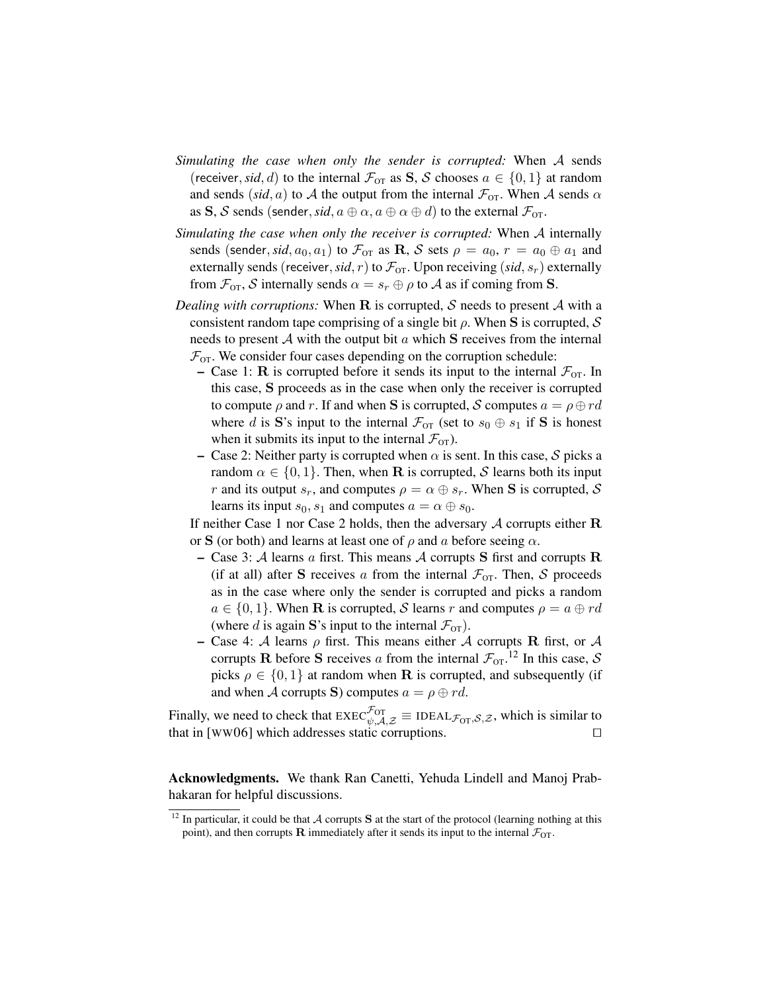- *Simulating the case when only the sender is corrupted:* When A sends (receiver, *sid*, *d*) to the internal  $\mathcal{F}_{OT}$  as **S**, *S* chooses  $a \in \{0, 1\}$  at random and sends (*sid*, a) to A the output from the internal  $\mathcal{F}_{OT}$ . When A sends  $\alpha$ as S, S sends (sender,  $sid$ ,  $a \oplus \alpha$ ,  $a \oplus \alpha \oplus d$ ) to the external  $\mathcal{F}_{\text{OT}}$ .
- *Simulating the case when only the receiver is corrupted:* When A internally sends (sender, *sid*,  $a_0$ ,  $a_1$ ) to  $\mathcal{F}_{\text{OT}}$  as **R**, S sets  $\rho = a_0$ ,  $r = a_0 \oplus a_1$  and externally sends (receiver,  $sid, r$ ) to  $\mathcal{F}_{OT}$ . Upon receiving  $(side, s_r)$  externally from  $\mathcal{F}_{\text{OT}}$ , S internally sends  $\alpha = s_r \oplus \rho$  to A as if coming from S.
- *Dealing with corruptions:* When  $\bf{R}$  is corrupted,  $\cal{S}$  needs to present  $\cal{A}$  with a consistent random tape comprising of a single bit  $\rho$ . When S is corrupted, S needs to present  $A$  with the output bit  $\alpha$  which S receives from the internal  $\mathcal{F}_{\text{OT}}$ . We consider four cases depending on the corruption schedule:
	- Case 1: R is corrupted before it sends its input to the internal  $\mathcal{F}_{\text{OT}}$ . In this case, S proceeds as in the case when only the receiver is corrupted to compute  $\rho$  and r. If and when S is corrupted, S computes  $a = \rho \oplus rd$ where d is S's input to the internal  $\mathcal{F}_{OT}$  (set to  $s_0 \oplus s_1$  if S is honest when it submits its input to the internal  $\mathcal{F}_{\text{OT}}$ ).
	- Case 2: Neither party is corrupted when  $\alpha$  is sent. In this case, S picks a random  $\alpha \in \{0, 1\}$ . Then, when **R** is corrupted, S learns both its input r and its output  $s_r$ , and computes  $\rho = \alpha \oplus s_r$ . When S is corrupted, S learns its input  $s_0$ ,  $s_1$  and computes  $a = \alpha \oplus s_0$ .

If neither Case 1 nor Case 2 holds, then the adversary  $A$  corrupts either  $R$ or S (or both) and learns at least one of  $\rho$  and a before seeing  $\alpha$ .

- Case 3: A learns  $\alpha$  first. This means A corrupts S first and corrupts R (if at all) after S receives a from the internal  $\mathcal{F}_{OT}$ . Then, S proceeds as in the case where only the sender is corrupted and picks a random  $a \in \{0, 1\}$ . When **R** is corrupted, S learns r and computes  $\rho = a \oplus rd$ (where d is again S's input to the internal  $\mathcal{F}_{\text{OT}}$ ).
- Case 4: A learns  $\rho$  first. This means either A corrupts **R** first, or A corrupts R before S receives a from the internal  $\mathcal{F}_{\text{OT}}$ .<sup>12</sup> In this case, S picks  $\rho \in \{0, 1\}$  at random when **R** is corrupted, and subsequently (if and when A corrupts S) computes  $a = \rho \oplus rd$ .

Finally, we need to check that  $\text{EXEC}_{\psi,A,\mathcal{Z}}^{\mathcal{F}_{\text{OT}}} \equiv \text{IDEAL}_{\mathcal{F}_{\text{OT}},\mathcal{S},\mathcal{Z}}$ , which is similar to that in  $[WW06]$  which addresses static corruptions.

Acknowledgments. We thank Ran Canetti, Yehuda Lindell and Manoj Prabhakaran for helpful discussions.

 $12$  In particular, it could be that A corrupts S at the start of the protocol (learning nothing at this point), and then corrupts R immediately after it sends its input to the internal  $\mathcal{F}_{OT}$ .